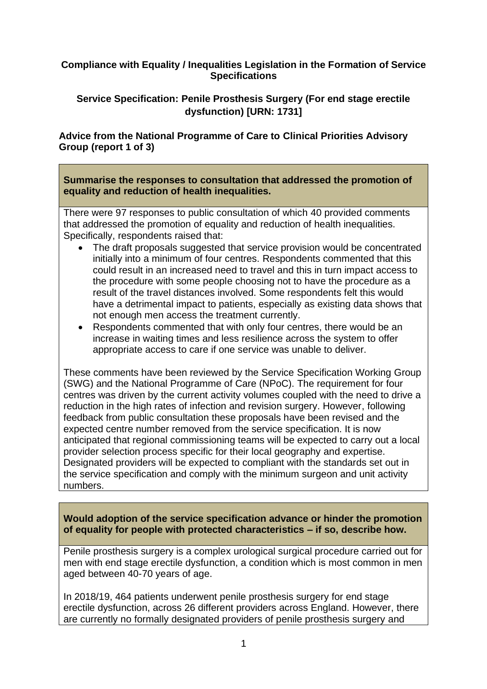#### **Compliance with Equality / Inequalities Legislation in the Formation of Service Specifications**

### **Service Specification: Penile Prosthesis Surgery (For end stage erectile dysfunction) [URN: 1731]**

### **Advice from the National Programme of Care to Clinical Priorities Advisory Group (report 1 of 3)**

#### **Summarise the responses to consultation that addressed the promotion of equality and reduction of health inequalities.**

There were 97 responses to public consultation of which 40 provided comments that addressed the promotion of equality and reduction of health inequalities. Specifically, respondents raised that:

- The draft proposals suggested that service provision would be concentrated initially into a minimum of four centres. Respondents commented that this could result in an increased need to travel and this in turn impact access to the procedure with some people choosing not to have the procedure as a result of the travel distances involved. Some respondents felt this would have a detrimental impact to patients, especially as existing data shows that not enough men access the treatment currently.
- Respondents commented that with only four centres, there would be an increase in waiting times and less resilience across the system to offer appropriate access to care if one service was unable to deliver.

These comments have been reviewed by the Service Specification Working Group (SWG) and the National Programme of Care (NPoC). The requirement for four centres was driven by the current activity volumes coupled with the need to drive a reduction in the high rates of infection and revision surgery. However, following feedback from public consultation these proposals have been revised and the expected centre number removed from the service specification. It is now anticipated that regional commissioning teams will be expected to carry out a local provider selection process specific for their local geography and expertise. Designated providers will be expected to compliant with the standards set out in the service specification and comply with the minimum surgeon and unit activity numbers.

**Would adoption of the service specification advance or hinder the promotion of equality for people with protected characteristics – if so, describe how.** 

Penile prosthesis surgery is a complex urological surgical procedure carried out for men with end stage erectile dysfunction, a condition which is most common in men aged between 40-70 years of age.

In 2018/19, 464 patients underwent penile prosthesis surgery for end stage erectile dysfunction, across 26 different providers across England. However, there are currently no formally designated providers of penile prosthesis surgery and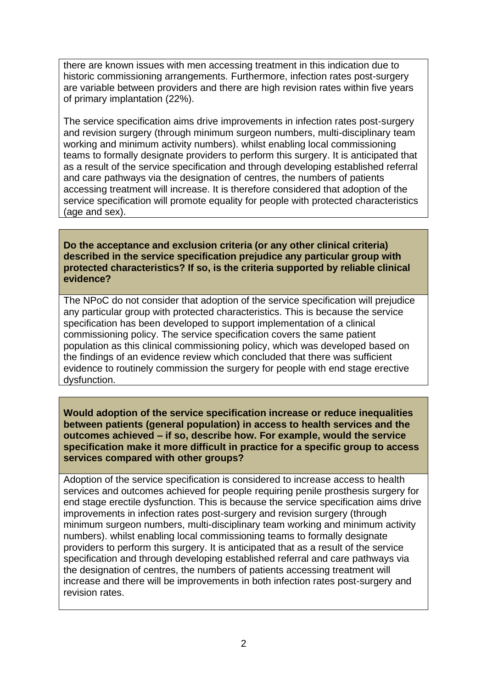there are known issues with men accessing treatment in this indication due to historic commissioning arrangements. Furthermore, infection rates post-surgery are variable between providers and there are high revision rates within five years of primary implantation (22%).

The service specification aims drive improvements in infection rates post-surgery and revision surgery (through minimum surgeon numbers, multi-disciplinary team working and minimum activity numbers). whilst enabling local commissioning teams to formally designate providers to perform this surgery. It is anticipated that as a result of the service specification and through developing established referral and care pathways via the designation of centres, the numbers of patients accessing treatment will increase. It is therefore considered that adoption of the service specification will promote equality for people with protected characteristics (age and sex).

**Do the acceptance and exclusion criteria (or any other clinical criteria) described in the service specification prejudice any particular group with protected characteristics? If so, is the criteria supported by reliable clinical evidence?**

The NPoC do not consider that adoption of the service specification will prejudice any particular group with protected characteristics. This is because the service specification has been developed to support implementation of a clinical commissioning policy. The service specification covers the same patient population as this clinical commissioning policy, which was developed based on the findings of an evidence review which concluded that there was sufficient evidence to routinely commission the surgery for people with end stage erective dysfunction.

**Would adoption of the service specification increase or reduce inequalities between patients (general population) in access to health services and the outcomes achieved – if so, describe how. For example, would the service specification make it more difficult in practice for a specific group to access services compared with other groups?**

Adoption of the service specification is considered to increase access to health services and outcomes achieved for people requiring penile prosthesis surgery for end stage erectile dysfunction. This is because the service specification aims drive improvements in infection rates post-surgery and revision surgery (through minimum surgeon numbers, multi-disciplinary team working and minimum activity numbers). whilst enabling local commissioning teams to formally designate providers to perform this surgery. It is anticipated that as a result of the service specification and through developing established referral and care pathways via the designation of centres, the numbers of patients accessing treatment will increase and there will be improvements in both infection rates post-surgery and revision rates.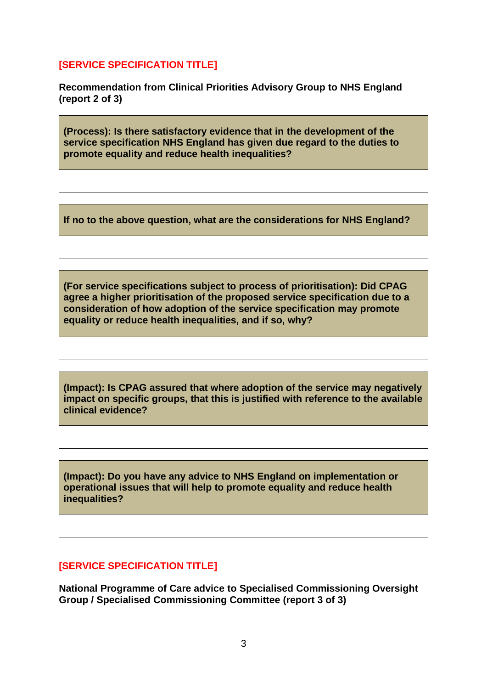## **[SERVICE SPECIFICATION TITLE]**

**Recommendation from Clinical Priorities Advisory Group to NHS England (report 2 of 3)**

**(Process): Is there satisfactory evidence that in the development of the service specification NHS England has given due regard to the duties to promote equality and reduce health inequalities?**

**If no to the above question, what are the considerations for NHS England?** 

**(For service specifications subject to process of prioritisation): Did CPAG agree a higher prioritisation of the proposed service specification due to a consideration of how adoption of the service specification may promote equality or reduce health inequalities, and if so, why?**

**(Impact): Is CPAG assured that where adoption of the service may negatively impact on specific groups, that this is justified with reference to the available clinical evidence?**

**(Impact): Do you have any advice to NHS England on implementation or operational issues that will help to promote equality and reduce health inequalities?**

# **[SERVICE SPECIFICATION TITLE]**

**National Programme of Care advice to Specialised Commissioning Oversight Group / Specialised Commissioning Committee (report 3 of 3)**